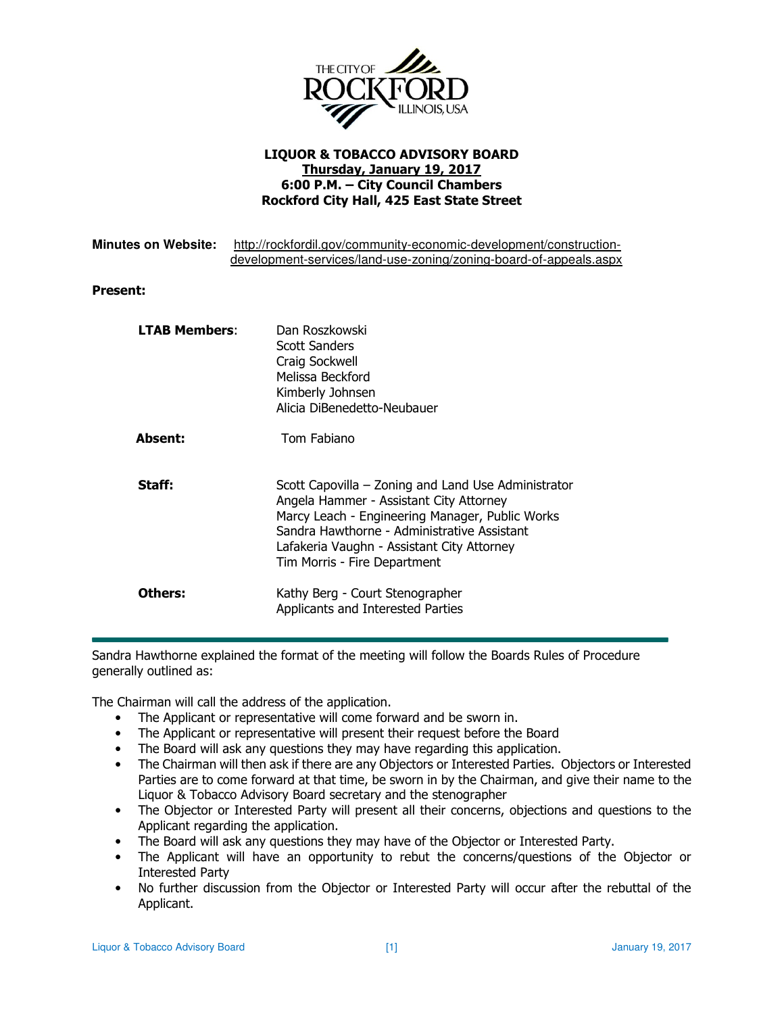

## LIQUOR & TOBACCO ADVISORY BOARD Thursday, January 19, 2017 6:00 P.M. – City Council Chambers Rockford City Hall, 425 East State Street

| <b>Minutes on Website:</b> | http://rockfordil.gov/community-economic-development/construction-<br>development-services/land-use-zoning/zoning-board-of-appeals.aspx                                                                                                                                        |
|----------------------------|--------------------------------------------------------------------------------------------------------------------------------------------------------------------------------------------------------------------------------------------------------------------------------|
| <b>Present:</b>            |                                                                                                                                                                                                                                                                                |
| <b>LTAB Members:</b>       | Dan Roszkowski<br>Scott Sanders<br>Craig Sockwell<br>Melissa Beckford<br>Kimberly Johnsen<br>Alicia DiBenedetto-Neubauer                                                                                                                                                       |
| <b>Absent:</b>             | Tom Fabiano                                                                                                                                                                                                                                                                    |
| Staff:                     | Scott Capovilla – Zoning and Land Use Administrator<br>Angela Hammer - Assistant City Attorney<br>Marcy Leach - Engineering Manager, Public Works<br>Sandra Hawthorne - Administrative Assistant<br>Lafakeria Vaughn - Assistant City Attorney<br>Tim Morris - Fire Department |
| Others:                    | Kathy Berg - Court Stenographer<br>Applicants and Interested Parties                                                                                                                                                                                                           |

Sandra Hawthorne explained the format of the meeting will follow the Boards Rules of Procedure generally outlined as:

The Chairman will call the address of the application.

- The Applicant or representative will come forward and be sworn in.
- The Applicant or representative will present their request before the Board
- The Board will ask any questions they may have regarding this application.
- The Chairman will then ask if there are any Objectors or Interested Parties. Objectors or Interested Parties are to come forward at that time, be sworn in by the Chairman, and give their name to the Liquor & Tobacco Advisory Board secretary and the stenographer
- The Objector or Interested Party will present all their concerns, objections and questions to the Applicant regarding the application.
- The Board will ask any questions they may have of the Objector or Interested Party.
- The Applicant will have an opportunity to rebut the concerns/questions of the Objector or Interested Party
- No further discussion from the Objector or Interested Party will occur after the rebuttal of the Applicant.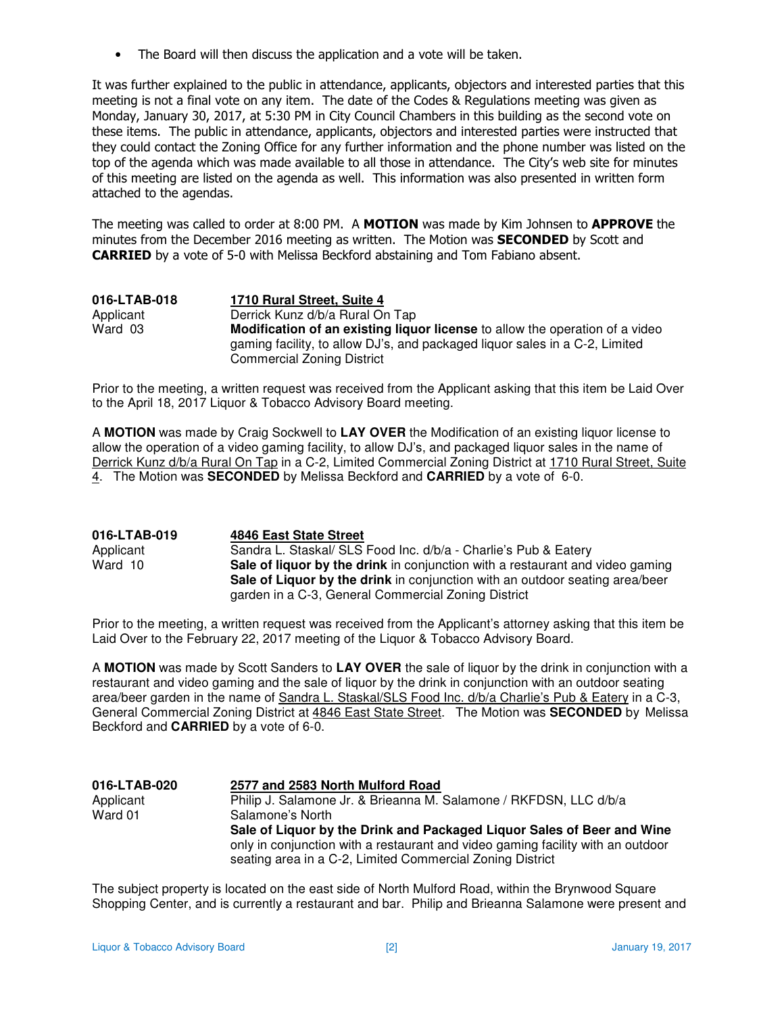• The Board will then discuss the application and a vote will be taken.

It was further explained to the public in attendance, applicants, objectors and interested parties that this meeting is not a final vote on any item. The date of the Codes & Regulations meeting was given as Monday, January 30, 2017, at 5:30 PM in City Council Chambers in this building as the second vote on these items. The public in attendance, applicants, objectors and interested parties were instructed that they could contact the Zoning Office for any further information and the phone number was listed on the top of the agenda which was made available to all those in attendance. The City's web site for minutes of this meeting are listed on the agenda as well. This information was also presented in written form attached to the agendas.

The meeting was called to order at 8:00 PM. A MOTION was made by Kim Johnsen to APPROVE the minutes from the December 2016 meeting as written. The Motion was **SECONDED** by Scott and CARRIED by a vote of 5-0 with Melissa Beckford abstaining and Tom Fabiano absent.

| 016-LTAB-018 | 1710 Rural Street, Suite 4                                                                                                                                                                       |
|--------------|--------------------------------------------------------------------------------------------------------------------------------------------------------------------------------------------------|
| Applicant    | Derrick Kunz d/b/a Rural On Tap                                                                                                                                                                  |
| Ward 03      | Modification of an existing liquor license to allow the operation of a video<br>gaming facility, to allow DJ's, and packaged liquor sales in a C-2, Limited<br><b>Commercial Zoning District</b> |

Prior to the meeting, a written request was received from the Applicant asking that this item be Laid Over to the April 18, 2017 Liquor & Tobacco Advisory Board meeting.

A **MOTION** was made by Craig Sockwell to **LAY OVER** the Modification of an existing liquor license to allow the operation of a video gaming facility, to allow DJ's, and packaged liquor sales in the name of Derrick Kunz d/b/a Rural On Tap in a C-2, Limited Commercial Zoning District at 1710 Rural Street, Suite 4. The Motion was **SECONDED** by Melissa Beckford and **CARRIED** by a vote of 6-0.

| 016-LTAB-019 | 4846 East State Street                                                        |
|--------------|-------------------------------------------------------------------------------|
| Applicant    | Sandra L. Staskal/ SLS Food Inc. d/b/a - Charlie's Pub & Eatery               |
| Ward 10      | Sale of liquor by the drink in conjunction with a restaurant and video gaming |
|              | Sale of Liquor by the drink in conjunction with an outdoor seating area/beer  |
|              | garden in a C-3, General Commercial Zoning District                           |

Prior to the meeting, a written request was received from the Applicant's attorney asking that this item be Laid Over to the February 22, 2017 meeting of the Liquor & Tobacco Advisory Board.

A **MOTION** was made by Scott Sanders to **LAY OVER** the sale of liquor by the drink in conjunction with a restaurant and video gaming and the sale of liquor by the drink in conjunction with an outdoor seating area/beer garden in the name of Sandra L. Staskal/SLS Food Inc. d/b/a Charlie's Pub & Eatery in a C-3, General Commercial Zoning District at 4846 East State Street. The Motion was **SECONDED** by Melissa Beckford and **CARRIED** by a vote of 6-0.

| 016-LTAB-020 | 2577 and 2583 North Mulford Road                                                |
|--------------|---------------------------------------------------------------------------------|
| Applicant    | Philip J. Salamone Jr. & Brieanna M. Salamone / RKFDSN, LLC d/b/a               |
| Ward 01      | Salamone's North                                                                |
|              | Sale of Liguor by the Drink and Packaged Liguor Sales of Beer and Wine          |
|              | only in conjunction with a restaurant and video gaming facility with an outdoor |
|              | seating area in a C-2, Limited Commercial Zoning District                       |

The subject property is located on the east side of North Mulford Road, within the Brynwood Square Shopping Center, and is currently a restaurant and bar. Philip and Brieanna Salamone were present and